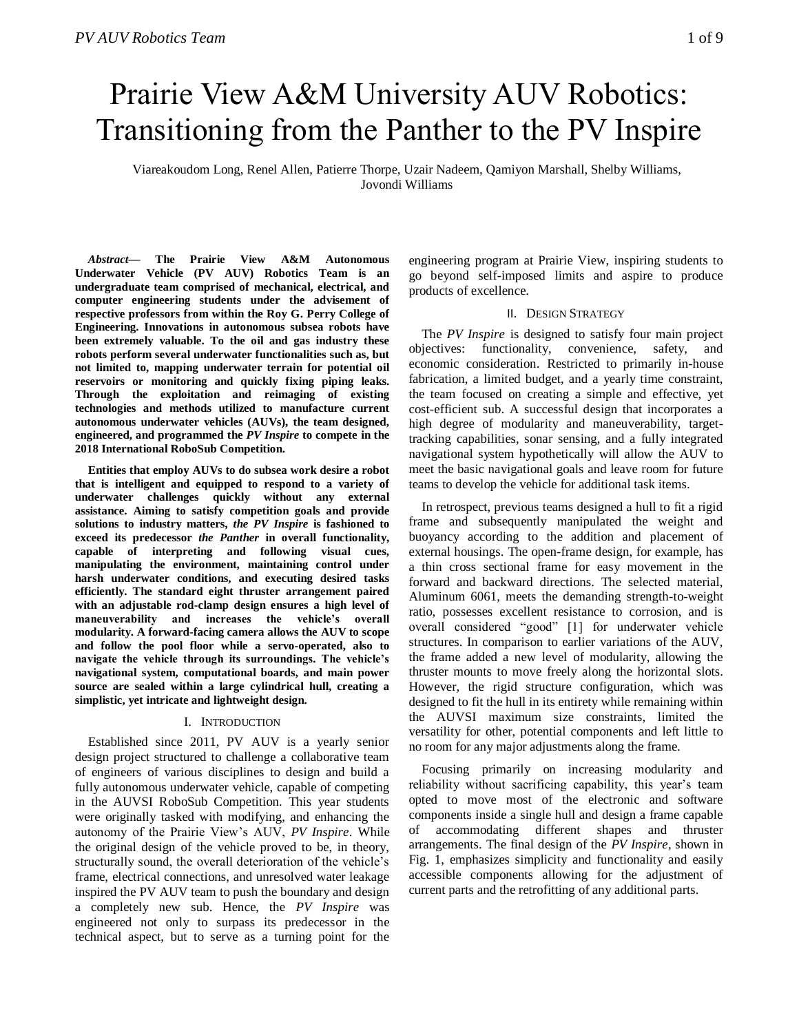# Prairie View A&M University AUV Robotics: Transitioning from the Panther to the PV Inspire

Viareakoudom Long, Renel Allen, Patierre Thorpe, Uzair Nadeem, Qamiyon Marshall, Shelby Williams, Jovondi Williams

*Abstract***— The Prairie View A&M Autonomous Underwater Vehicle (PV AUV) Robotics Team is an undergraduate team comprised of mechanical, electrical, and computer engineering students under the advisement of respective professors from within the Roy G. Perry College of Engineering. Innovations in autonomous subsea robots have been extremely valuable. To the oil and gas industry these robots perform several underwater functionalities such as, but not limited to, mapping underwater terrain for potential oil reservoirs or monitoring and quickly fixing piping leaks. Through the exploitation and reimaging of existing technologies and methods utilized to manufacture current autonomous underwater vehicles (AUVs), the team designed, engineered, and programmed the** *PV Inspire* **to compete in the 2018 International RoboSub Competition.** 

**Entities that employ AUVs to do subsea work desire a robot that is intelligent and equipped to respond to a variety of underwater challenges quickly without any external assistance. Aiming to satisfy competition goals and provide solutions to industry matters,** *the PV Inspire* **is fashioned to exceed its predecessor** *the Panther* **in overall functionality, capable of interpreting and following visual cues, manipulating the environment, maintaining control under harsh underwater conditions, and executing desired tasks efficiently. The standard eight thruster arrangement paired with an adjustable rod-clamp design ensures a high level of maneuverability and increases the vehicle's overall modularity. A forward-facing camera allows the AUV to scope and follow the pool floor while a servo-operated, also to navigate the vehicle through its surroundings. The vehicle's navigational system, computational boards, and main power source are sealed within a large cylindrical hull, creating a simplistic, yet intricate and lightweight design.**

## I. INTRODUCTION

Established since 2011, PV AUV is a yearly senior design project structured to challenge a collaborative team of engineers of various disciplines to design and build a fully autonomous underwater vehicle, capable of competing in the AUVSI RoboSub Competition. This year students were originally tasked with modifying, and enhancing the autonomy of the Prairie View's AUV, *PV Inspire*. While the original design of the vehicle proved to be, in theory, structurally sound, the overall deterioration of the vehicle's frame, electrical connections, and unresolved water leakage inspired the PV AUV team to push the boundary and design a completely new sub. Hence, the *PV Inspire* was engineered not only to surpass its predecessor in the technical aspect, but to serve as a turning point for the

engineering program at Prairie View, inspiring students to go beyond self-imposed limits and aspire to produce products of excellence.

## II. DESIGN STRATEGY

The *PV Inspire* is designed to satisfy four main project objectives: functionality, convenience, safety, and economic consideration. Restricted to primarily in-house fabrication, a limited budget, and a yearly time constraint, the team focused on creating a simple and effective, yet cost-efficient sub. A successful design that incorporates a high degree of modularity and maneuverability, targettracking capabilities, sonar sensing, and a fully integrated navigational system hypothetically will allow the AUV to meet the basic navigational goals and leave room for future teams to develop the vehicle for additional task items.

In retrospect, previous teams designed a hull to fit a rigid frame and subsequently manipulated the weight and buoyancy according to the addition and placement of external housings. The open-frame design, for example, has a thin cross sectional frame for easy movement in the forward and backward directions. The selected material, Aluminum 6061, meets the demanding strength-to-weight ratio, possesses excellent resistance to corrosion, and is overall considered "good" [1] for underwater vehicle structures. In comparison to earlier variations of the AUV, the frame added a new level of modularity, allowing the thruster mounts to move freely along the horizontal slots. However, the rigid structure configuration, which was designed to fit the hull in its entirety while remaining within the AUVSI maximum size constraints, limited the versatility for other, potential components and left little to no room for any major adjustments along the frame.

Focusing primarily on increasing modularity and reliability without sacrificing capability, this year's team opted to move most of the electronic and software components inside a single hull and design a frame capable of accommodating different shapes and thruster arrangements. The final design of the *PV Inspire*, shown in Fig. 1, emphasizes simplicity and functionality and easily accessible components allowing for the adjustment of current parts and the retrofitting of any additional parts.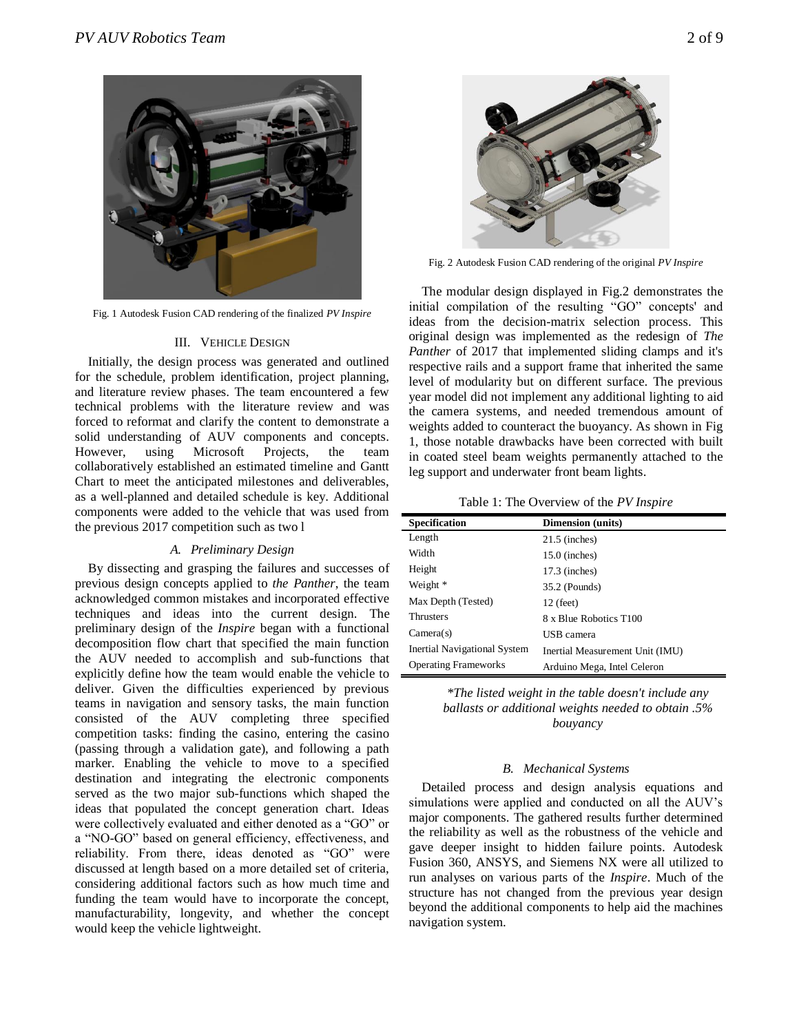

Fig. 1 Autodesk Fusion CAD rendering of the finalized *PV Inspire*

# III. VEHICLE DESIGN

Initially, the design process was generated and outlined for the schedule, problem identification, project planning, and literature review phases. The team encountered a few technical problems with the literature review and was forced to reformat and clarify the content to demonstrate a solid understanding of AUV components and concepts. However, using Microsoft Projects, the team collaboratively established an estimated timeline and Gantt Chart to meet the anticipated milestones and deliverables, as a well-planned and detailed schedule is key. Additional components were added to the vehicle that was used from the previous 2017 competition such as two l

# *A. Preliminary Design*

By dissecting and grasping the failures and successes of previous design concepts applied to *the Panther*, the team acknowledged common mistakes and incorporated effective techniques and ideas into the current design. The preliminary design of the *Inspire* began with a functional decomposition flow chart that specified the main function the AUV needed to accomplish and sub-functions that explicitly define how the team would enable the vehicle to deliver. Given the difficulties experienced by previous teams in navigation and sensory tasks, the main function consisted of the AUV completing three specified competition tasks: finding the casino, entering the casino (passing through a validation gate), and following a path marker. Enabling the vehicle to move to a specified destination and integrating the electronic components served as the two major sub-functions which shaped the ideas that populated the concept generation chart. Ideas were collectively evaluated and either denoted as a "GO" or a "NO-GO" based on general efficiency, effectiveness, and reliability. From there, ideas denoted as "GO" were discussed at length based on a more detailed set of criteria, considering additional factors such as how much time and funding the team would have to incorporate the concept, manufacturability, longevity, and whether the concept would keep the vehicle lightweight.



Fig. 2 Autodesk Fusion CAD rendering of the original *PV Inspire*

The modular design displayed in Fig.2 demonstrates the initial compilation of the resulting "GO" concepts' and ideas from the decision-matrix selection process. This original design was implemented as the redesign of *The Panther* of 2017 that implemented sliding clamps and it's respective rails and a support frame that inherited the same level of modularity but on different surface. The previous year model did not implement any additional lighting to aid the camera systems, and needed tremendous amount of weights added to counteract the buoyancy. As shown in Fig 1, those notable drawbacks have been corrected with built in coated steel beam weights permanently attached to the leg support and underwater front beam lights.

| Table 1: The Overview of the PV Inspire |  |  |  |  |
|-----------------------------------------|--|--|--|--|
|-----------------------------------------|--|--|--|--|

| <b>Specification</b>         | <b>Dimension</b> (units)        |
|------------------------------|---------------------------------|
| Length                       | $21.5$ (inches)                 |
| Width                        | $15.0$ (inches)                 |
| Height                       | $17.3$ (inches)                 |
| Weight *                     | 35.2 (Pounds)                   |
| Max Depth (Tested)           | $12$ (feet)                     |
| <b>Thrusters</b>             | 8 x Blue Robotics T100          |
| Camera(s)                    | USB camera                      |
| Inertial Navigational System | Inertial Measurement Unit (IMU) |
| <b>Operating Frameworks</b>  | Arduino Mega, Intel Celeron     |

*\*The listed weight in the table doesn't include any ballasts or additional weights needed to obtain .5% bouyancy* 

## *B. Mechanical Systems*

Detailed process and design analysis equations and simulations were applied and conducted on all the AUV's major components. The gathered results further determined the reliability as well as the robustness of the vehicle and gave deeper insight to hidden failure points. Autodesk Fusion 360, ANSYS, and Siemens NX were all utilized to run analyses on various parts of the *Inspire*. Much of the structure has not changed from the previous year design beyond the additional components to help aid the machines navigation system.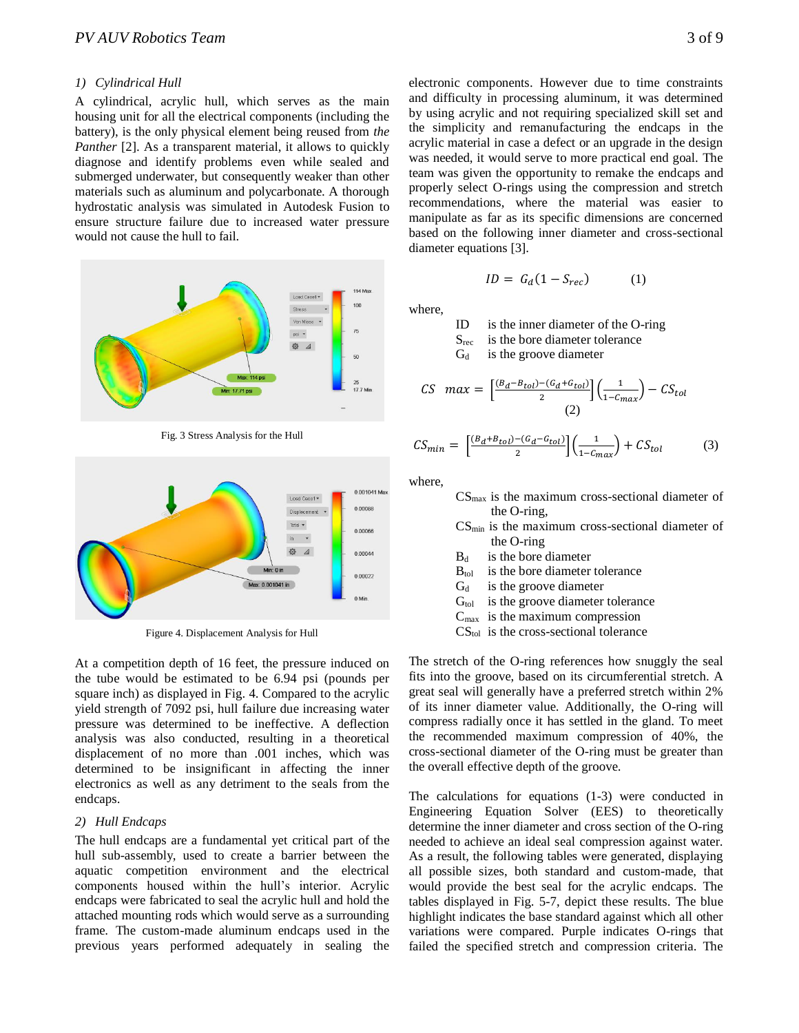# *1) Cylindrical Hull*

A cylindrical, acrylic hull, which serves as the main housing unit for all the electrical components (including the battery), is the only physical element being reused from *the Panther* [2]. As a transparent material, it allows to quickly diagnose and identify problems even while sealed and submerged underwater, but consequently weaker than other materials such as aluminum and polycarbonate. A thorough hydrostatic analysis was simulated in Autodesk Fusion to ensure structure failure due to increased water pressure would not cause the hull to fail.



Fig. 3 Stress Analysis for the Hull



Figure 4. Displacement Analysis for Hull

At a competition depth of 16 feet, the pressure induced on the tube would be estimated to be 6.94 psi (pounds per square inch) as displayed in Fig. 4. Compared to the acrylic yield strength of 7092 psi, hull failure due increasing water pressure was determined to be ineffective. A deflection analysis was also conducted, resulting in a theoretical displacement of no more than .001 inches, which was determined to be insignificant in affecting the inner electronics as well as any detriment to the seals from the endcaps.

# *2) Hull Endcaps*

The hull endcaps are a fundamental yet critical part of the hull sub-assembly, used to create a barrier between the aquatic competition environment and the electrical components housed within the hull's interior. Acrylic endcaps were fabricated to seal the acrylic hull and hold the attached mounting rods which would serve as a surrounding frame. The custom-made aluminum endcaps used in the previous years performed adequately in sealing the

electronic components. However due to time constraints and difficulty in processing aluminum, it was determined by using acrylic and not requiring specialized skill set and the simplicity and remanufacturing the endcaps in the acrylic material in case a defect or an upgrade in the design was needed, it would serve to more practical end goal. The team was given the opportunity to remake the endcaps and properly select O-rings using the compression and stretch recommendations, where the material was easier to manipulate as far as its specific dimensions are concerned based on the following inner diameter and cross-sectional diameter equations [3].

 $ID = G_d(1 - S_{rec})$  (1)

where,

ID is the inner diameter of the O-ring

 $S_{\text{rec}}$  is the bore diameter tolerance

 $G_d$  is the groove diameter

$$
CS \ \ max = \left[\frac{(B_d - B_{tol}) - (G_d + G_{tol})}{2}\right] \left(\frac{1}{1 - C_{max}}\right) - CS_{tol}
$$
\n
$$
(2)
$$

$$
CS_{min} = \left[\frac{(B_d + B_{tol}) - (G_d - G_{tol})}{2}\right] \left(\frac{1}{1 - C_{max}}\right) + CS_{tol}
$$
 (3)

where,

- $CS<sub>max</sub>$  is the maximum cross-sectional diameter of the O-ring,
- $CS<sub>min</sub>$  is the maximum cross-sectional diameter of the O-ring
- $B_d$  is the bore diameter
- $B_{\text{tol}}$  is the bore diameter tolerance
- $G_d$  is the groove diameter
- $G<sub>tol</sub>$  is the groove diameter tolerance
- $C_{\text{max}}$  is the maximum compression
- CS<sub>tol</sub> is the cross-sectional tolerance

The stretch of the O-ring references how snuggly the seal fits into the groove, based on its circumferential stretch. A great seal will generally have a preferred stretch within 2% of its inner diameter value. Additionally, the O-ring will compress radially once it has settled in the gland. To meet the recommended maximum compression of 40%, the cross-sectional diameter of the O-ring must be greater than the overall effective depth of the groove.

The calculations for equations (1-3) were conducted in Engineering Equation Solver (EES) to theoretically determine the inner diameter and cross section of the O-ring needed to achieve an ideal seal compression against water. As a result, the following tables were generated, displaying all possible sizes, both standard and custom-made, that would provide the best seal for the acrylic endcaps. The tables displayed in Fig. 5-7, depict these results. The blue highlight indicates the base standard against which all other variations were compared. Purple indicates O-rings that failed the specified stretch and compression criteria. The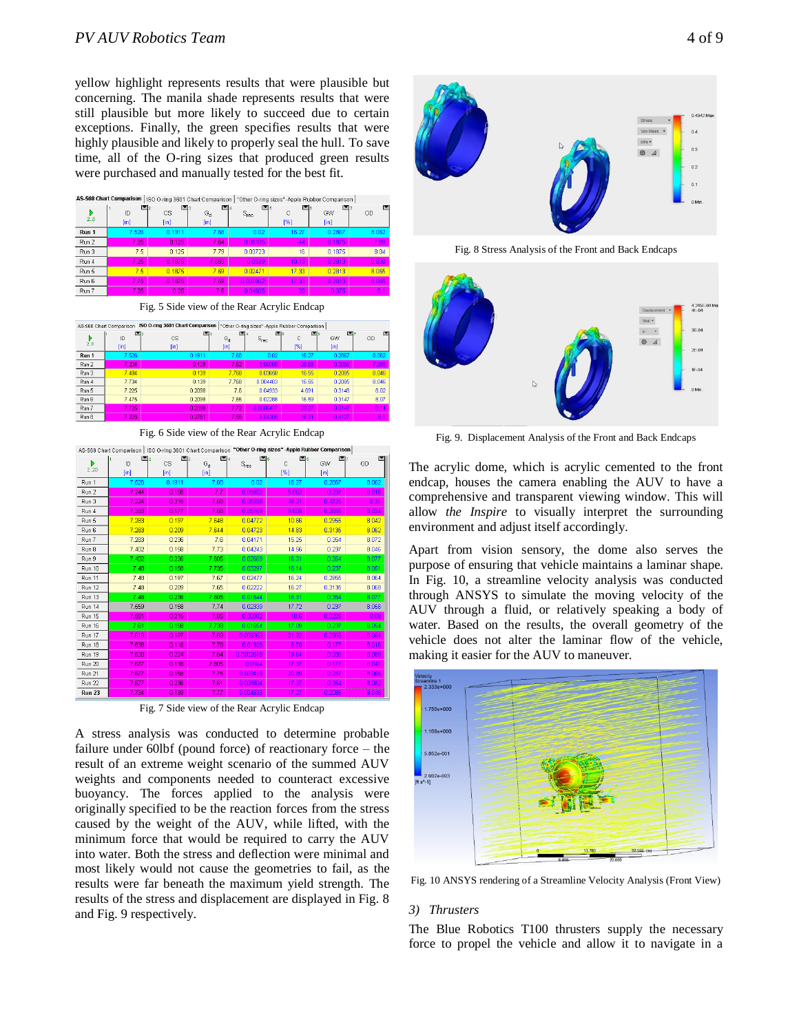yellow highlight represents results that were plausible but concerning. The manila shade represents results that were still plausible but more likely to succeed due to certain exceptions. Finally, the green specifies results that were highly plausible and likely to properly seal the hull. To save time, all of the O-ring sizes that produced green results were purchased and manually tested for the best fit.

| <b>AS-568 Chart Comparison</b><br>ISO O-ring 3601 Chart Comparison  <br>"Other O-ring sizes" -Apple Rubber Comparison |            |                                       |                             |             |                  |                 |         |
|-----------------------------------------------------------------------------------------------------------------------|------------|---------------------------------------|-----------------------------|-------------|------------------|-----------------|---------|
| 2.8                                                                                                                   | ID<br>[in] | ≃:<br>M <sub>2</sub><br>CS<br>$[$ in] | M4<br>$G_d$<br>$[{\sf in}]$ | $S_{rec}$   | C<br>[%]         | м<br>GW<br>[in] | M<br>OD |
| Run 1                                                                                                                 | 7.526      | 0.1911                                | 7.68                        | 0.02        | 16.27            | 0.2867          | 8.062   |
| Run 2                                                                                                                 | 7.25       | 0.125                                 | 7.64                        | 0.05105     | $-44$            | 0.1875          | 7.89    |
| Run 3                                                                                                                 | 7.5        | 0.125                                 | 7.79                        | 0.03723     | 16               | 0.1875          | 8.04    |
| Run 4                                                                                                                 | 7.25       | 0.1875                                | 7.663                       | 0.0539      | 10 <sub>13</sub> | 0.2813          | 8.038   |
| Run 5                                                                                                                 | 7.5        | ft 1875                               | 7.69                        | 0.02471     | 17.33            | 0.2813          | 8.065   |
| Run 6                                                                                                                 | 7.75       | 0.1875                                | 7.69                        | $-0.007802$ | 17.33            | 0.2813          | 8.065   |
| Run 7                                                                                                                 | 7.25       | 0.25                                  | 7.6                         | 0.04605     | 20 <sub>1</sub>  | 0.375           | 81      |

Fig. 5 Side view of the Rear Acrylic Endcap

|          | AS-568 Chart Comparison | ISO O-ring 3601 Chart Comparison     |                                  |                 | "Other O-ring sizes" -Apple Rubber Comparison |                              |           |
|----------|-------------------------|--------------------------------------|----------------------------------|-----------------|-----------------------------------------------|------------------------------|-----------|
| Þ<br>2.8 | 国2<br>ID<br>[in]        | 国3<br><b>CS</b><br>[ <sub>in</sub> ] | $G_{\rm d}$<br>[ <sub>in</sub> ] | ة⊠<br>$S_{rec}$ | E 6<br>C<br>[%]                               | m<br>GW<br>[ <sub>in</sub> ] | <b>OD</b> |
| Run 1    | 7.526                   | 0.1911                               | 7.68                             | 0.02            | 16.27                                         | 0.2867                       | 8.062     |
| Run 2    | 7.234                   | 0.139                                | 7.62                             | 0.05063         | $-36.69$                                      | 0.2085                       | 7.898     |
| Run 3    | 7.484                   | 0.139                                | 7.768                            | 0.03658         | 16.55                                         | 0.2085                       | 8.046     |
| Run 4    | 7.734                   | 0.139                                | 7.768                            | 0.004403        | 16.55                                         | 0.2085                       | 8.046     |
| Run 5    | 7.225                   | 0.2098                               | 7.6                              | 0.04933         | 4.691                                         | 0.3148                       | 8.02      |
| Run 6    | 7.475                   | 0.2098                               | 7.65                             | 0.02288         | 16.59                                         | 0.3147                       | 8.07      |
| Run 7    | 7.725                   | 0.2098                               | 7.72                             | -0.0006477      | 33.27                                         | 0.3147                       | 8.14      |
| Run 8    | 7.225                   | 0.2751                               | 7.55                             | 0.04305         | 18.21                                         | 0.4127                       | 81        |

Fig. 6 Side view of the Rear Acrylic Endcap

| AS-568 Chart Comparison   ISO O-ring 3601 Chart Comparison "Other O-ring sizes" -Apple Rubber Comparison |            |                                |                                |             |          |                         |       |
|----------------------------------------------------------------------------------------------------------|------------|--------------------------------|--------------------------------|-------------|----------|-------------------------|-------|
| 2.23                                                                                                     | ID<br>[in] | <b>CS</b><br>[ <sub>in</sub> ] | G <sub>d</sub><br>$[{\sf in}]$ | $S_{rec}$   | Ċ<br>[%] | GW<br>[ <sub>in</sub> ] | OD    |
| Run 1                                                                                                    | 7.526      | 0.1911                         | 7.68                           | 0.02        | 16.27    | 0.2867                  | 8.062 |
| Run 2                                                                                                    | 7.244      | 0.158                          | 7.7                            | 0.05922     | 5.063    | 0.237                   | 8.016 |
| Run 3                                                                                                    | 7.224      | 0.315                          | 7.68                           | 0.05938     | 49.21    | 0.4725                  | 8.31  |
| Run 4                                                                                                    | 7.283      | 0.177                          | 7.68                           | 0.05169     | 9.605    | 0.2655                  | 8.034 |
| Run 5                                                                                                    | 7.283      | 0.197                          | 7.648                          | 0.04772     | 10.66    | 0.2955                  | 8.042 |
| Run 6                                                                                                    | 7.283      | 0.209                          | 7.644                          | 0.04723     | 14.83    | 0.3135                  | 8.062 |
| Run 7                                                                                                    | 7.283      | 0.236                          | 7.6                            | 0.04171     | 15.25    | 0.354                   | 8.072 |
| Run 8                                                                                                    | 7.402      | 0.158                          | 7.73                           | 0.04243     | 14.56    | 0.237                   | 8.046 |
| Run 9                                                                                                    | 7.402      | 0.236                          | 7.605                          | 0.02669     | 16.31    | 0.354                   | 8.077 |
| <b>Run 10</b>                                                                                            | 7.48       | 0.158                          | 7.735                          | 0.03297     | 16.14    | 0.237                   | 8.051 |
| <b>Run 11</b>                                                                                            | 7.48       | 0.197                          | 7.67                           | 0.02477     | 16.24    | 0.2955                  | 8.064 |
| <b>Run 12</b>                                                                                            | 7.48       | 0.209                          | 7.65                           | 0.02222     | 16.27    | 0.3135                  | 8.068 |
| Run 13                                                                                                   | 7.48       | 0.236                          | 7.605                          | 0.01644     | 16.31    | 0.354                   | 8.077 |
| <b>Run 14</b>                                                                                            | 7.559      | 0.158                          | 7.74                           | 0.02339     | 17.72    | 0.237                   | 8.056 |
| <b>Run 15</b>                                                                                            | 7.581      | 0.215                          | 7.65                           | 0.00902     | 18.6     | 0.3225                  | 8.08  |
| <b>Run 16</b>                                                                                            | 7.61       | 0.158                          | 7.738                          | 0.01654     | 17.09    | 0.237                   | 8.054 |
| <b>Run 17</b>                                                                                            | 7.618      | 0.197                          | 7.69                           | 0.009363    | 21.32    | 0.2955                  | 8.084 |
| <b>Run 18</b>                                                                                            | 7.638      | 0.118                          | 7.78                           | 0.01825     | 6.78     | 0.177                   | 8.016 |
| Run 19                                                                                                   | 7.638      | 0.224                          | 7.64                           | 0.0002618   | 19.64    | 0.336                   | 8.088 |
| <b>Run 20</b>                                                                                            | 7.677      | 0.118                          | 7.805                          | 0.0164      | 17.37    | 0.177                   | 8.041 |
| <b>Run 21</b>                                                                                            | 7.677      | 0.158                          | 7.75                           | 0.009419    | 20.89    | 0.237                   | 8.066 |
| <b>Run 22</b>                                                                                            | 7.677      | 0.236                          | 7.61                           | $-0.008804$ | 17.37    | 0.354                   | 8.082 |
| <b>Run 23</b>                                                                                            | 7.734      | 0.139                          | 7.77                           | 0.004633    | 17.27    | 0.2085                  | 8.048 |

Fig. 7 Side view of the Rear Acrylic Endcap

A stress analysis was conducted to determine probable failure under 60lbf (pound force) of reactionary force – the result of an extreme weight scenario of the summed AUV weights and components needed to counteract excessive buoyancy. The forces applied to the analysis were originally specified to be the reaction forces from the stress caused by the weight of the AUV, while lifted, with the minimum force that would be required to carry the AUV into water. Both the stress and deflection were minimal and most likely would not cause the geometries to fail, as the results were far beneath the maximum yield strength. The results of the stress and displacement are displayed in Fig. 8 and Fig. 9 respectively.



Fig. 8 Stress Analysis of the Front and Back Endcaps



Fig. 9. Displacement Analysis of the Front and Back Endcaps

The acrylic dome, which is acrylic cemented to the front endcap, houses the camera enabling the AUV to have a comprehensive and transparent viewing window. This will allow *the Inspire* to visually interpret the surrounding environment and adjust itself accordingly.

Apart from vision sensory, the dome also serves the purpose of ensuring that vehicle maintains a laminar shape. In Fig. 10, a streamline velocity analysis was conducted through ANSYS to simulate the moving velocity of the AUV through a fluid, or relatively speaking a body of water. Based on the results, the overall geometry of the vehicle does not alter the laminar flow of the vehicle, making it easier for the AUV to maneuver.



Fig. 10 ANSYS rendering of a Streamline Velocity Analysis (Front View)

## *3) Thrusters*

The Blue Robotics T100 thrusters supply the necessary force to propel the vehicle and allow it to navigate in a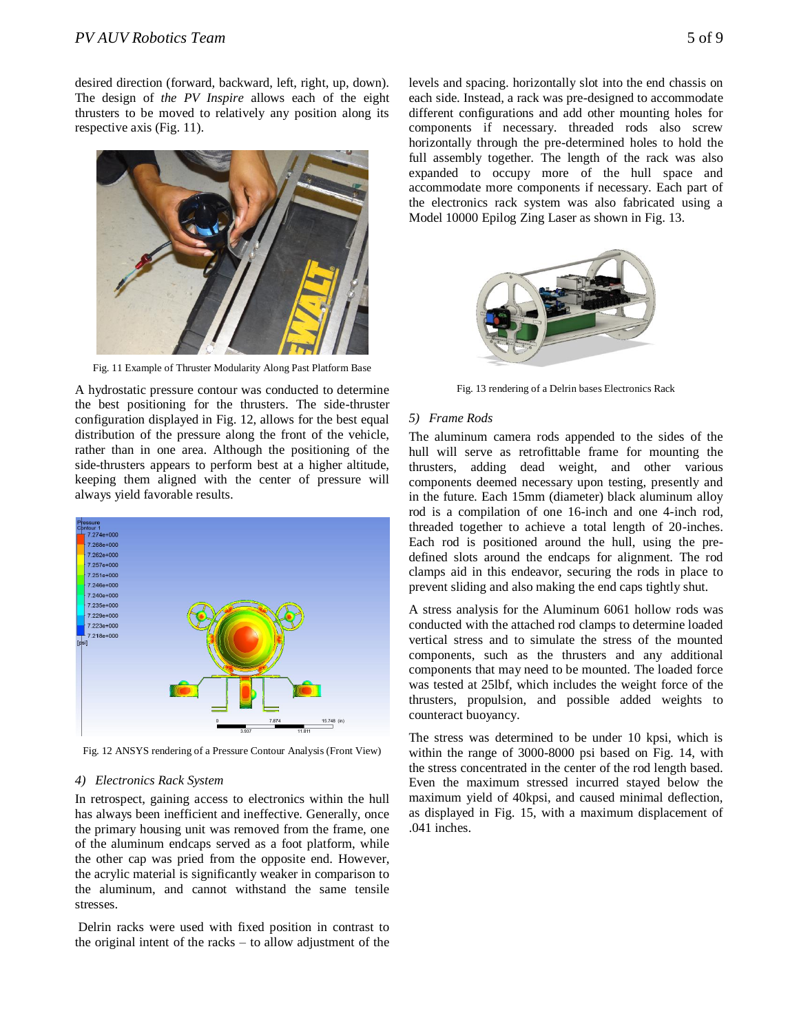desired direction (forward, backward, left, right, up, down). The design of *the PV Inspire* allows each of the eight thrusters to be moved to relatively any position along its respective axis (Fig. 11).



Fig. 11 Example of Thruster Modularity Along Past Platform Base

A hydrostatic pressure contour was conducted to determine the best positioning for the thrusters. The side-thruster configuration displayed in Fig. 12, allows for the best equal distribution of the pressure along the front of the vehicle, rather than in one area. Although the positioning of the side-thrusters appears to perform best at a higher altitude, keeping them aligned with the center of pressure will always yield favorable results.



Fig. 12 ANSYS rendering of a Pressure Contour Analysis (Front View)

# *4) Electronics Rack System*

In retrospect, gaining access to electronics within the hull has always been inefficient and ineffective. Generally, once the primary housing unit was removed from the frame, one of the aluminum endcaps served as a foot platform, while the other cap was pried from the opposite end. However, the acrylic material is significantly weaker in comparison to the aluminum, and cannot withstand the same tensile stresses.

Delrin racks were used with fixed position in contrast to the original intent of the racks – to allow adjustment of the levels and spacing. horizontally slot into the end chassis on each side. Instead, a rack was pre-designed to accommodate different configurations and add other mounting holes for components if necessary. threaded rods also screw horizontally through the pre-determined holes to hold the full assembly together. The length of the rack was also expanded to occupy more of the hull space and accommodate more components if necessary. Each part of the electronics rack system was also fabricated using a Model 10000 Epilog Zing Laser as shown in Fig. 13.



Fig. 13 rendering of a Delrin bases Electronics Rack

## *5) Frame Rods*

The aluminum camera rods appended to the sides of the hull will serve as retrofittable frame for mounting the thrusters, adding dead weight, and other various components deemed necessary upon testing, presently and in the future. Each 15mm (diameter) black aluminum alloy rod is a compilation of one 16-inch and one 4-inch rod, threaded together to achieve a total length of 20-inches. Each rod is positioned around the hull, using the predefined slots around the endcaps for alignment. The rod clamps aid in this endeavor, securing the rods in place to prevent sliding and also making the end caps tightly shut.

A stress analysis for the Aluminum 6061 hollow rods was conducted with the attached rod clamps to determine loaded vertical stress and to simulate the stress of the mounted components, such as the thrusters and any additional components that may need to be mounted. The loaded force was tested at 25lbf, which includes the weight force of the thrusters, propulsion, and possible added weights to counteract buoyancy.

The stress was determined to be under 10 kpsi, which is within the range of 3000-8000 psi based on Fig. 14, with the stress concentrated in the center of the rod length based. Even the maximum stressed incurred stayed below the maximum yield of 40kpsi, and caused minimal deflection, as displayed in Fig. 15, with a maximum displacement of .041 inches.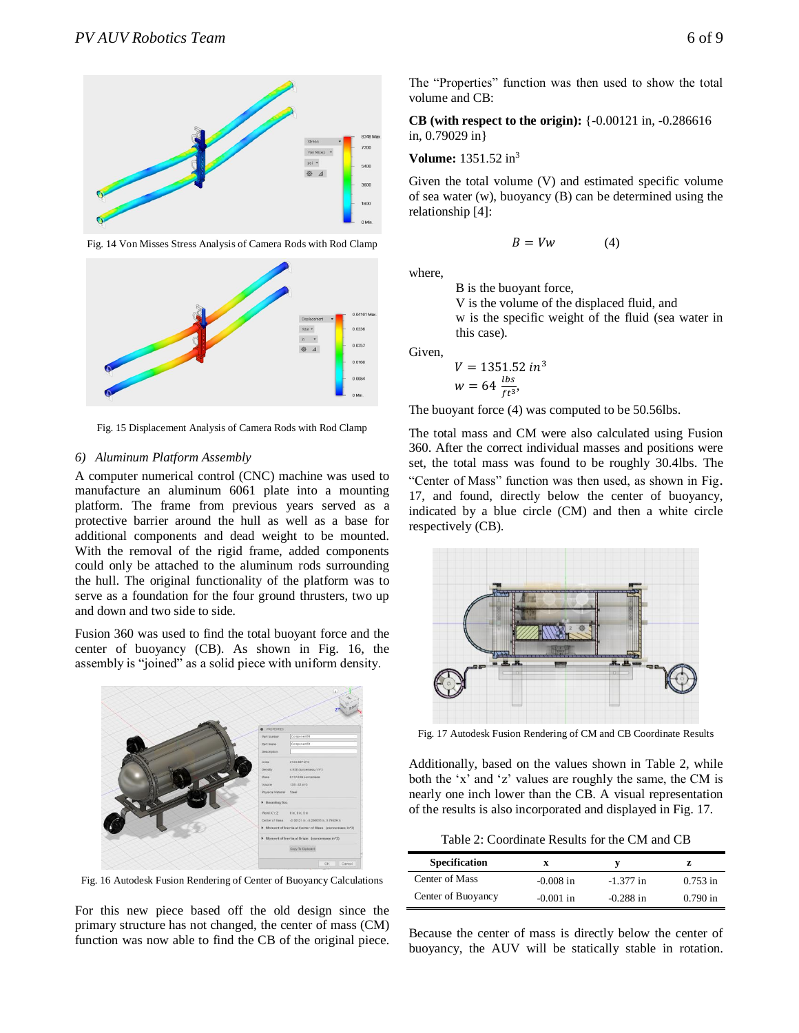

Fig. 14 Von Misses Stress Analysis of Camera Rods with Rod Clamp



Fig. 15 Displacement Analysis of Camera Rods with Rod Clamp

# *6) Aluminum Platform Assembly*

A computer numerical control (CNC) machine was used to manufacture an aluminum 6061 plate into a mounting platform. The frame from previous years served as a protective barrier around the hull as well as a base for additional components and dead weight to be mounted. With the removal of the rigid frame, added components could only be attached to the aluminum rods surrounding the hull. The original functionality of the platform was to serve as a foundation for the four ground thrusters, two up and down and two side to side.

Fusion 360 was used to find the total buoyant force and the center of buoyancy (CB). As shown in Fig. 16, the assembly is "joined" as a solid piece with uniform density.



Fig. 16 Autodesk Fusion Rendering of Center of Buoyancy Calculations

For this new piece based off the old design since the primary structure has not changed, the center of mass (CM) function was now able to find the CB of the original piece. The "Properties" function was then used to show the total volume and CB:

**CB (with respect to the origin):** {-0.00121 in, -0.286616 in, 0.79029 in}

**Volume:** 1351.52 in<sup>3</sup>

Given the total volume (V) and estimated specific volume of sea water (w), buoyancy (B) can be determined using the relationship [4]:

$$
B = Vw \tag{4}
$$

where,

B is the buoyant force,

V is the volume of the displaced fluid, and

w is the specific weight of the fluid (sea water in this case).

Given,

$$
V = 1351.52 \text{ in}^3
$$
  

$$
w = 64 \frac{\text{bs}}{\text{ft}^3}
$$

The buoyant force (4) was computed to be 50.56lbs.

The total mass and CM were also calculated using Fusion 360. After the correct individual masses and positions were set, the total mass was found to be roughly 30.4lbs. The "Center of Mass" function was then used, as shown in Fig. 17, and found, directly below the center of buoyancy, indicated by a blue circle (CM) and then a white circle respectively (CB).



Fig. 17 Autodesk Fusion Rendering of CM and CB Coordinate Results

Additionally, based on the values shown in Table 2, while both the 'x' and 'z' values are roughly the same, the CM is nearly one inch lower than the CB. A visual representation of the results is also incorporated and displayed in Fig. 17.

Table 2: Coordinate Results for the CM and CB

| <b>Specification</b> | x           |             |            |
|----------------------|-------------|-------------|------------|
| Center of Mass       | $-0.008$ in | $-1.377$ in | $0.753$ in |
| Center of Buoyancy   | $-0.001$ in | $-0.288$ in | $0.790$ in |

Because the center of mass is directly below the center of buoyancy, the AUV will be statically stable in rotation.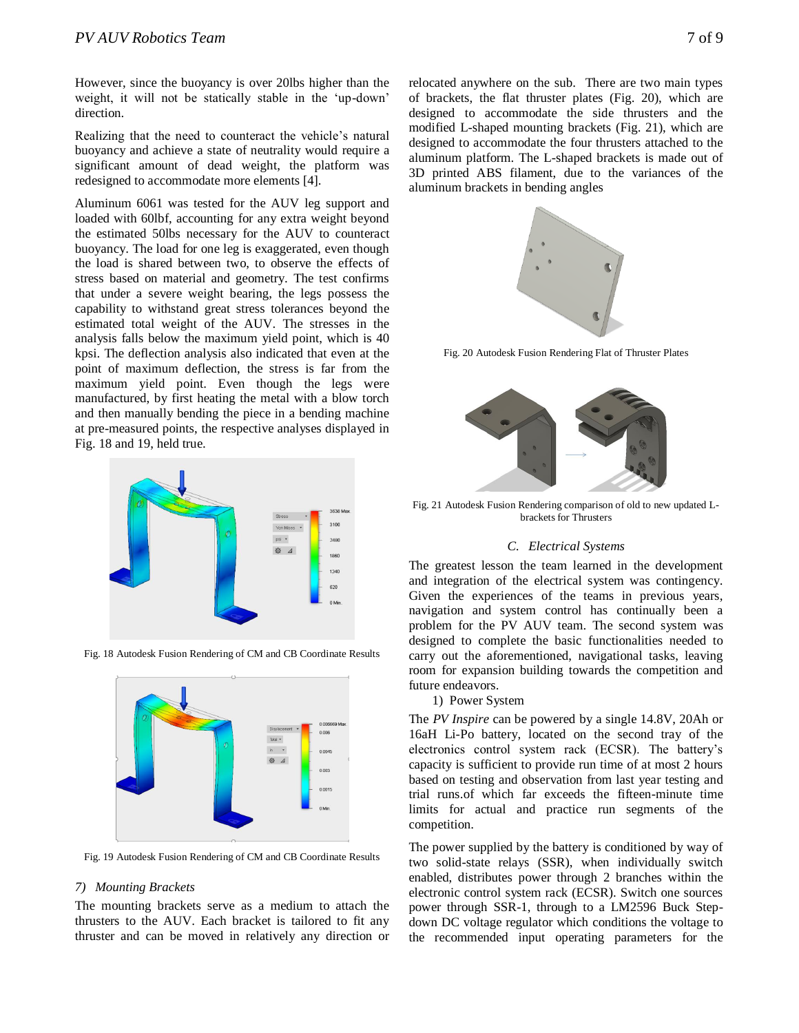However, since the buoyancy is over 20lbs higher than the weight, it will not be statically stable in the 'up-down' direction.

Realizing that the need to counteract the vehicle's natural buoyancy and achieve a state of neutrality would require a significant amount of dead weight, the platform was redesigned to accommodate more elements [4].

Aluminum 6061 was tested for the AUV leg support and loaded with 60lbf, accounting for any extra weight beyond the estimated 50lbs necessary for the AUV to counteract buoyancy. The load for one leg is exaggerated, even though the load is shared between two, to observe the effects of stress based on material and geometry. The test confirms that under a severe weight bearing, the legs possess the capability to withstand great stress tolerances beyond the estimated total weight of the AUV. The stresses in the analysis falls below the maximum yield point, which is 40 kpsi. The deflection analysis also indicated that even at the point of maximum deflection, the stress is far from the maximum yield point. Even though the legs were manufactured, by first heating the metal with a blow torch and then manually bending the piece in a bending machine at pre-measured points, the respective analyses displayed in Fig. 18 and 19, held true.



Fig. 18 Autodesk Fusion Rendering of CM and CB Coordinate Results



Fig. 19 Autodesk Fusion Rendering of CM and CB Coordinate Results

#### *7) Mounting Brackets*

The mounting brackets serve as a medium to attach the thrusters to the AUV. Each bracket is tailored to fit any thruster and can be moved in relatively any direction or relocated anywhere on the sub. There are two main types of brackets, the flat thruster plates (Fig. 20), which are designed to accommodate the side thrusters and the modified L-shaped mounting brackets (Fig. 21), which are designed to accommodate the four thrusters attached to the aluminum platform. The L-shaped brackets is made out of 3D printed ABS filament, due to the variances of the aluminum brackets in bending angles



Fig. 20 Autodesk Fusion Rendering Flat of Thruster Plates



Fig. 21 Autodesk Fusion Rendering comparison of old to new updated Lbrackets for Thrusters

#### *C. Electrical Systems*

The greatest lesson the team learned in the development and integration of the electrical system was contingency. Given the experiences of the teams in previous years, navigation and system control has continually been a problem for the PV AUV team. The second system was designed to complete the basic functionalities needed to carry out the aforementioned, navigational tasks, leaving room for expansion building towards the competition and future endeavors.

1) Power System

The *PV Inspire* can be powered by a single 14.8V, 20Ah or 16aH Li-Po battery, located on the second tray of the electronics control system rack (ECSR). The battery's capacity is sufficient to provide run time of at most 2 hours based on testing and observation from last year testing and trial runs.of which far exceeds the fifteen-minute time limits for actual and practice run segments of the competition.

The power supplied by the battery is conditioned by way of two solid-state relays (SSR), when individually switch enabled, distributes power through 2 branches within the electronic control system rack (ECSR). Switch one sources power through SSR-1, through to a LM2596 Buck Stepdown DC voltage regulator which conditions the voltage to the recommended input operating parameters for the